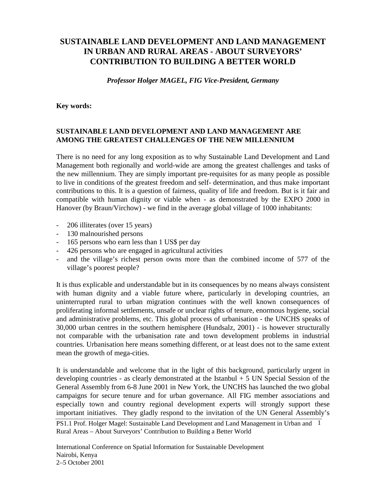# **SUSTAINABLE LAND DEVELOPMENT AND LAND MANAGEMENT IN URBAN AND RURAL AREAS - ABOUT SURVEYORS' CONTRIBUTION TO BUILDING A BETTER WORLD**

*Professor Holger MAGEL, FIG Vice-President, Germany*

#### **Key words:**

# **SUSTAINABLE LAND DEVELOPMENT AND LAND MANAGEMENT ARE AMONG THE GREATEST CHALLENGES OF THE NEW MILLENNIUM**

There is no need for any long exposition as to why Sustainable Land Development and Land Management both regionally and world-wide are among the greatest challenges and tasks of the new millennium. They are simply important pre-requisites for as many people as possible to live in conditions of the greatest freedom and self- determination, and thus make important contributions to this. It is a question of fairness, quality of life and freedom. But is it fair and compatible with human dignity or viable when - as demonstrated by the EXPO 2000 in Hanover (by Braun/Virchow) - we find in the average global village of 1000 inhabitants:

- 206 illiterates (over 15 years)
- 130 malnourished persons
- 165 persons who earn less than 1 US\$ per day
- 426 persons who are engaged in agricultural activities
- and the village's richest person owns more than the combined income of 577 of the village's poorest people?

It is thus explicable and understandable but in its consequences by no means always consistent with human dignity and a viable future where, particularly in developing countries, an uninterrupted rural to urban migration continues with the well known consequences of proliferating informal settlements, unsafe or unclear rights of tenure, enormous hygiene, social and administrative problems, etc. This global process of urbanisation - the UNCHS speaks of 30,000 urban centres in the southern hemisphere (Hundsalz, 2001) - is however structurally not comparable with the urbanisation rate and town development problems in industrial countries. Urbanisation here means something different, or at least does not to the same extent mean the growth of mega-cities.

It is understandable and welcome that in the light of this background, particularly urgent in developing countries - as clearly demonstrated at the Istanbul  $+ 5$  UN Special Session of the General Assembly from 6-8 June 2001 in New York, the UNCHS has launched the two global campaigns for secure tenure and for urban governance. All FIG member associations and especially town and country regional development experts will strongly support these important initiatives. They gladly respond to the invitation of the UN General Assembly's

PS1.1 Prof. Holger Magel: Sustainable Land Development and Land Management in Urban and 1 Rural Areas – About Surveyors' Contribution to Building a Better World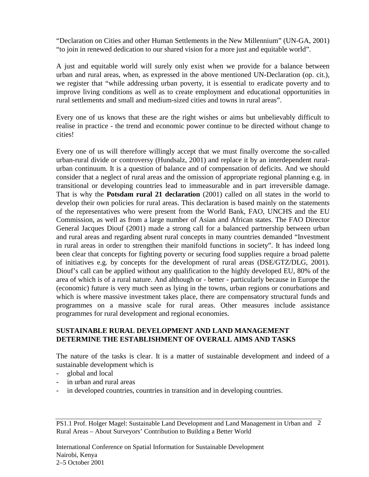"Declaration on Cities and other Human Settlements in the New Millennium" (UN-GA, 2001) "to join in renewed dedication to our shared vision for a more just and equitable world".

A just and equitable world will surely only exist when we provide for a balance between urban and rural areas, when, as expressed in the above mentioned UN-Declaration (op. cit.), we register that "while addressing urban poverty, it is essential to eradicate poverty and to improve living conditions as well as to create employment and educational opportunities in rural settlements and small and medium-sized cities and towns in rural areas".

Every one of us knows that these are the right wishes or aims but unbelievably difficult to realise in practice - the trend and economic power continue to be directed without change to cities!

Every one of us will therefore willingly accept that we must finally overcome the so-called urban-rural divide or controversy (Hundsalz, 2001) and replace it by an interdependent ruralurban continuum. It is a question of balance and of compensation of deficits. And we should consider that a neglect of rural areas and the omission of appropriate regional planning e.g. in transitional or developing countries lead to immeasurable and in part irreversible damage. That is why the **Potsdam rural 21 declaration** (2001) called on all states in the world to develop their own policies for rural areas. This declaration is based mainly on the statements of the representatives who were present from the World Bank, FAO, UNCHS and the EU Commission, as well as from a large number of Asian and African states. The FAO Director General Jacques Diouf (2001) made a strong call for a balanced partnership between urban and rural areas and regarding absent rural concepts in many countries demanded "Investment in rural areas in order to strengthen their manifold functions in society". It has indeed long been clear that concepts for fighting poverty or securing food supplies require a broad palette of initiatives e.g. by concepts for the development of rural areas (DSE/GTZ/DLG, 2001). Diouf's call can be applied without any qualification to the highly developed EU, 80% of the area of which is of a rural nature. And although or - better - particularly because in Europe the (economic) future is very much seen as lying in the towns, urban regions or conurbations and which is where massive investment takes place, there are compensatory structural funds and programmes on a massive scale for rural areas. Other measures include assistance programmes for rural development and regional economies.

# **SUSTAINABLE RURAL DEVELOPMENT AND LAND MANAGEMENT DETERMINE THE ESTABLISHMENT OF OVERALL AIMS AND TASKS**

The nature of the tasks is clear. It is a matter of sustainable development and indeed of a sustainable development which is

- global and local
- in urban and rural areas
- in developed countries, countries in transition and in developing countries.

PS1.1 Prof. Holger Magel: Sustainable Land Development and Land Management in Urban and 2 Rural Areas – About Surveyors' Contribution to Building a Better World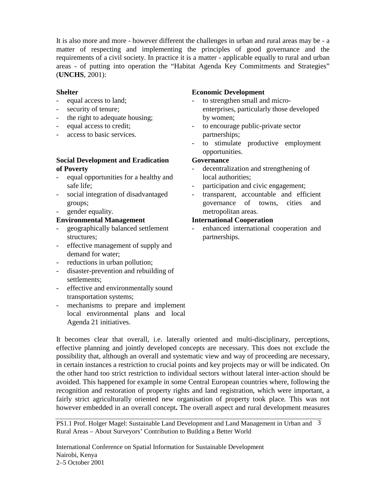It is also more and more - however different the challenges in urban and rural areas may be - a matter of respecting and implementing the principles of good governance and the requirements of a civil society. In practice it is a matter - applicable equally to rural and urban areas - of putting into operation the "Habitat Agenda Key Commitments and Strategies" (**UNCHS**, 2001):

## **Shelter**

- equal access to land;
- security of tenure;
- the right to adequate housing;
- equal access to credit;
- access to basic services.

## **Social Development and Eradication of Poverty**

- equal opportunities for a healthy and safe life;
- social integration of disadvantaged groups;
- gender equality.

# **Environmental Management**

- geographically balanced settlement structures;
- effective management of supply and demand for water;
- reductions in urban pollution;
- disaster-prevention and rebuilding of settlements;
- effective and environmentally sound transportation systems;
- mechanisms to prepare and implement local environmental plans and local Agenda 21 initiatives.

#### **Economic Development**

- to strengthen small and microenterprises, particularly those developed by women;
- to encourage public-private sector partnerships;
- to stimulate productive employment opportunities.

## **Governance**

- decentralization and strengthening of local authorities;
- participation and civic engagement;
- transparent, accountable and efficient governance of towns, cities and metropolitan areas.

## **International Cooperation**

enhanced international cooperation and partnerships.

It becomes clear that overall, i.e. laterally oriented and multi-disciplinary, perceptions, effective planning and jointly developed concepts are necessary. This does not exclude the possibility that, although an overall and systematic view and way of proceeding are necessary, in certain instances a restriction to crucial points and key projects may or will be indicated. On the other hand too strict restriction to individual sectors without lateral inter-action should be avoided. This happened for example in some Central European countries where, following the recognition and restoration of property rights and land registration, which were important, a fairly strict agriculturally oriented new organisation of property took place*.* This was not however embedded in an overall concept**.** The overall aspect and rural development measures

PS1.1 Prof. Holger Magel: Sustainable Land Development and Land Management in Urban and 3 Rural Areas – About Surveyors' Contribution to Building a Better World

International Conference on Spatial Information for Sustainable Development Nairobi, Kenya 2–5 October 2001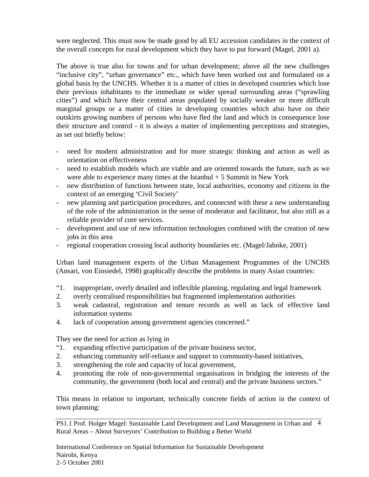were neglected. This must now be made good by all EU accession candidates in the context of the overall concepts for rural development which they have to put forward (Magel, 2001 a).

The above is true also for towns and for urban development; above all the new challenges "inclusive city", "urban governance" etc., which have been worked out and formulated on a global basis by the UNCHS. Whether it is a matter of cities in developed countries which lose their previous inhabitants to the immediate or wider spread surrounding areas ("sprawling cities") and which have their central areas populated by socially weaker or more difficult marginal groups or a matter of cities in developing countries which also have on their outskirts growing numbers of persons who have fled the land and which in consequence lose their structure and control - it is always a matter of implementing perceptions and strategies, as set out briefly below:

- need for modern administration and for more strategic thinking and action as well as orientation on effectiveness
- need to establish models which are viable and are oriented towards the future, such as we were able to experience many times at the Istanbul  $+5$  Summit in New York
- new distribution of functions between state, local authorities, economy and citizens in the context of an emerging 'Civil Society'
- new planning and participation procedures, and connected with these a new understanding of the role of the administration in the sense of moderator and facilitator, but also still as a reliable provider of core services.
- development and use of new information technologies combined with the creation of new jobs in this area
- regional cooperation crossing local authority boundaries etc. (Magel/Jahnke, 2001)

Urban land management experts of the Urban Management Programmes of the UNCHS (Ansari, von Einsiedel, 1998) graphically describe the problems in many Asian countries:

- "1. inappropriate, overly detailed and inflexible planning, regulating and legal framework
- 2. overly centralised responsibilities but fragmented implementation authorities
- 3. weak cadastral, registration and tenure records as well as lack of effective land information systems
- 4. lack of cooperation among government agencies concerned."

They see the need for action as lying in

- "1. expanding effective participation of the private business sector,
- 2. enhancing community self-reliance and support to community-based initiatives,
- 3. strengthening the role and capacity of local government,
- 4. promoting the role of non-governmental organisations in bridging the interests of the community, the government (both local and central) and the private business sectors."

This means in relation to important, technically concrete fields of action in the context of town planning:

PS1.1 Prof. Holger Magel: Sustainable Land Development and Land Management in Urban and 4 Rural Areas – About Surveyors' Contribution to Building a Better World

International Conference on Spatial Information for Sustainable Development Nairobi, Kenya 2–5 October 2001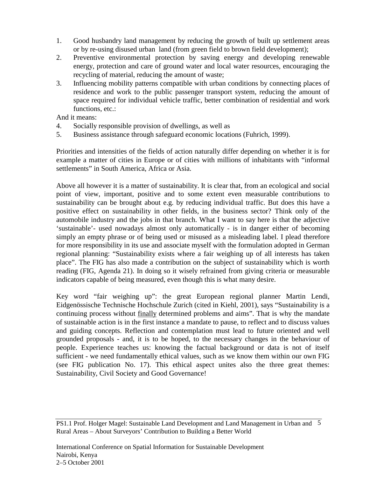- 1. Good husbandry land management by reducing the growth of built up settlement areas or by re-using disused urban land (from green field to brown field development);
- 2. Preventive environmental protection by saving energy and developing renewable energy, protection and care of ground water and local water resources, encouraging the recycling of material, reducing the amount of waste;
- 3. Influencing mobility patterns compatible with urban conditions by connecting places of residence and work to the public passenger transport system, reducing the amount of space required for individual vehicle traffic, better combination of residential and work functions, etc.:

And it means:

- 4. Socially responsible provision of dwellings, as well as
- 5. Business assistance through safeguard economic locations (Fuhrich, 1999).

Priorities and intensities of the fields of action naturally differ depending on whether it is for example a matter of cities in Europe or of cities with millions of inhabitants with "informal settlements" in South America, Africa or Asia.

Above all however it is a matter of sustainability. It is clear that, from an ecological and social point of view, important, positive and to some extent even measurable contributions to sustainability can be brought about e.g. by reducing individual traffic. But does this have a positive effect on sustainability in other fields, in the business sector? Think only of the automobile industry and the jobs in that branch. What I want to say here is that the adjective 'sustainable'- used nowadays almost only automatically - is in danger either of becoming simply an empty phrase or of being used or misused as a misleading label. I plead therefore for more responsibility in its use and associate myself with the formulation adopted in German regional planning: "Sustainability exists where a fair weighing up of all interests has taken place". The FIG has also made a contribution on the subject of sustainability which is worth reading (FIG, Agenda 21). In doing so it wisely refrained from giving criteria or measurable indicators capable of being measured, even though this is what many desire.

Key word "fair weighing up": the great European regional planner Martin Lendi, Eidgenössische Technische Hochschule Zurich (cited in Kiehl, 2001), says "Sustainability is a continuing process without finally determined problems and aims". That is why the mandate of sustainable action is in the first instance a mandate to pause, to reflect and to discuss values and guiding concepts. Reflection and contemplation must lead to future oriented and well grounded proposals - and, it is to be hoped, to the necessary changes in the behaviour of people. Experience teaches us: knowing the factual background or data is not of itself sufficient - we need fundamentally ethical values, such as we know them within our own FIG (see FIG publication No. 17). This ethical aspect unites also the three great themes: Sustainability, Civil Society and Good Governance!

PS1.1 Prof. Holger Magel: Sustainable Land Development and Land Management in Urban and 5 Rural Areas – About Surveyors' Contribution to Building a Better World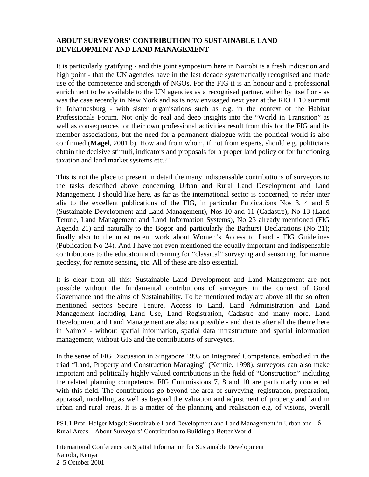# **ABOUT SURVEYORS' CONTRIBUTION TO SUSTAINABLE LAND DEVELOPMENT AND LAND MANAGEMENT**

It is particularly gratifying - and this joint symposium here in Nairobi is a fresh indication and high point - that the UN agencies have in the last decade systematically recognised and made use of the competence and strength of NGOs. For the FIG it is an honour and a professional enrichment to be available to the UN agencies as a recognised partner, either by itself or - as was the case recently in New York and as is now envisaged next year at the  $RIO + 10$  summit in Johannesburg - with sister organisations such as e.g. in the context of the Habitat Professionals Forum. Not only do real and deep insights into the "World in Transition" as well as consequences for their own professional activities result from this for the FIG and its member associations, but the need for a permanent dialogue with the political world is also confirmed (**Magel**, 2001 b). How and from whom, if not from experts, should e.g. politicians obtain the decisive stimuli, indicators and proposals for a proper land policy or for functioning taxation and land market systems etc.?!

This is not the place to present in detail the many indispensable contributions of surveyors to the tasks described above concerning Urban and Rural Land Development and Land Management. I should like here, as far as the international sector is concerned, to refer inter alia to the excellent publications of the FIG, in particular Publications Nos 3, 4 and 5 (Sustainable Development and Land Management), Nos 10 and 11 (Cadastre), No 13 (Land Tenure, Land Management and Land Information Systems), No 23 already mentioned (FIG Agenda 21) and naturally to the Bogor and particularly the Bathurst Declarations (No 21); finally also to the most recent work about Women's Access to Land - FIG Guidelines (Publication No 24). And I have not even mentioned the equally important and indispensable contributions to the education and training for "classical" surveying and sensoring, for marine geodesy, for remote sensing, etc. All of these are also essential.

It is clear from all this: Sustainable Land Development and Land Management are not possible without the fundamental contributions of surveyors in the context of Good Governance and the aims of Sustainability. To be mentioned today are above all the so often mentioned sectors Secure Tenure, Access to Land, Land Administration and Land Management including Land Use, Land Registration, Cadastre and many more. Land Development and Land Management are also not possible - and that is after all the theme here in Nairobi - without spatial information, spatial data infrastructure and spatial information management, without GIS and the contributions of surveyors.

In the sense of FIG Discussion in Singapore 1995 on Integrated Competence, embodied in the triad "Land, Property and Construction Managing" (Kennie, 1998), surveyors can also make important and politically highly valued contributions in the field of "Construction" including the related planning competence. FIG Commissions 7, 8 and 10 are particularly concerned with this field. The contributions go beyond the area of surveying, registration, preparation, appraisal, modelling as well as beyond the valuation and adjustment of property and land in urban and rural areas. It is a matter of the planning and realisation e.g. of visions, overall

PS1.1 Prof. Holger Magel: Sustainable Land Development and Land Management in Urban and 6 Rural Areas – About Surveyors' Contribution to Building a Better World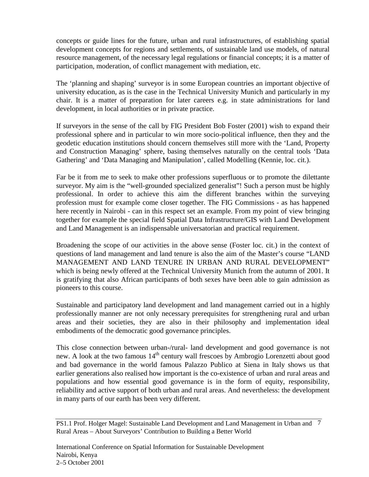concepts or guide lines for the future, urban and rural infrastructures, of establishing spatial development concepts for regions and settlements, of sustainable land use models, of natural resource management, of the necessary legal regulations or financial concepts; it is a matter of participation, moderation, of conflict management with mediation, etc.

The 'planning and shaping' surveyor is in some European countries an important objective of university education, as is the case in the Technical University Munich and particularly in my chair. It is a matter of preparation for later careers e.g. in state administrations for land development, in local authorities or in private practice.

If surveyors in the sense of the call by FIG President Bob Foster (2001) wish to expand their professional sphere and in particular to win more socio-political influence, then they and the geodetic education institutions should concern themselves still more with the 'Land, Property and Construction Managing' sphere, basing themselves naturally on the central tools 'Data Gathering' and 'Data Managing and Manipulation', called Modelling (Kennie, loc. cit.).

Far be it from me to seek to make other professions superfluous or to promote the dilettante surveyor. My aim is the "well-grounded specialized generalist"! Such a person must be highly professional. In order to achieve this aim the different branches within the surveying profession must for example come closer together. The FIG Commissions - as has happened here recently in Nairobi - can in this respect set an example. From my point of view bringing together for example the special field Spatial Data Infrastructure/GIS with Land Development and Land Management is an indispensable universatorian and practical requirement.

Broadening the scope of our activities in the above sense (Foster loc. cit.) in the context of questions of land management and land tenure is also the aim of the Master's course "LAND MANAGEMENT AND LAND TENURE IN URBAN AND RURAL DEVELOPMENT" which is being newly offered at the Technical University Munich from the autumn of 2001. It is gratifying that also African participants of both sexes have been able to gain admission as pioneers to this course.

Sustainable and participatory land development and land management carried out in a highly professionally manner are not only necessary prerequisites for strengthening rural and urban areas and their societies, they are also in their philosophy and implementation ideal embodiments of the democratic good governance principles.

This close connection between urban-/rural- land development and good governance is not new. A look at the two famous 14<sup>th</sup> century wall frescoes by Ambrogio Lorenzetti about good and bad governance in the world famous Palazzo Publico at Siena in Italy shows us that earlier generations also realised how important is the co-existence of urban and rural areas and populations and how essential good governance is in the form of equity, responsibility, reliability and active support of both urban and rural areas. And nevertheless: the development in many parts of our earth has been very different.

PS1.1 Prof. Holger Magel: Sustainable Land Development and Land Management in Urban and 7 Rural Areas – About Surveyors' Contribution to Building a Better World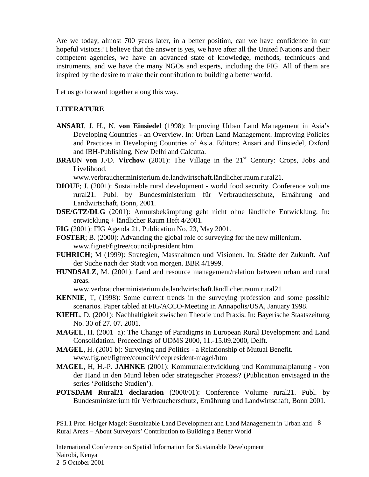Are we today, almost 700 years later, in a better position, can we have confidence in our hopeful visions? I believe that the answer is yes, we have after all the United Nations and their competent agencies, we have an advanced state of knowledge, methods, techniques and instruments, and we have the many NGOs and experts, including the FIG. All of them are inspired by the desire to make their contribution to building a better world.

Let us go forward together along this way.

## **LITERATURE**

- **ANSARI**, J. H., N. **von Einsiedel** (1998): Improving Urban Land Management in Asia's Developing Countries - an Overview. In: Urban Land Management. Improving Policies and Practices in Developing Countries of Asia. Editors: Ansari and Einsiedel, Oxford and IBH-Publishing, New Delhi and Calcutta.
- **BRAUN von** J./D. **Virchow** (2001): The Village in the 21<sup>st</sup> Century: Crops, Jobs and Livelihood.

www.verbraucherministerium.de.landwirtschaft.ländlicher.raum.rural21.

- **DIOUF**; J. (2001): Sustainable rural development world food security. Conference volume rural21. Publ. by Bundesministerium für Verbraucherschutz, Ernährung and Landwirtschaft, Bonn, 2001.
- **DSE/GTZ/DLG** (2001): Armutsbekämpfung geht nicht ohne ländliche Entwicklung. In: entwicklung + ländlicher Raum Heft 4/2001.
- **FIG** (2001): FIG Agenda 21. Publication No. 23, May 2001.
- **FOSTER**; B. (2000): Advancing the global role of surveying for the new millenium. www.fignet/figtree/council/president.htm.
- **FUHRICH**; M (1999): Strategien, Massnahmen und Visionen. In: Städte der Zukunft. Auf der Suche nach der Stadt von morgen. BBR 4/1999.
- **HUNDSALZ**, M. (2001): Land and resource management/relation between urban and rural areas.

www.verbraucherministerium.de.landwirtschaft.ländlicher.raum.rural21

- **KENNIE**, T, (1998): Some current trends in the surveying profession and some possible scenarios. Paper tabled at FIG/ACCO-Meeting in Annapolis/USA, January 1998.
- **KIEHL**, D. (2001): Nachhaltigkeit zwischen Theorie und Praxis. In: Bayerische Staatszeitung No. 30 of 27. 07. 2001.
- **MAGEL**, H. (2001 a): The Change of Paradigms in European Rural Development and Land Consolidation. Proceedings of UDMS 2000, 11.-15.09.2000, Delft.
- **MAGEL**, H. (2001 b): Surveying and Politics a Relationship of Mutual Benefit. www.fig.net/figtree/council/vicepresident-magel/htm
- **MAGEL**, H, H.-P. **JAHNKE** (2001): Kommunalentwicklung und Kommunalplanung von der Hand in den Mund leben oder strategischer Prozess? (Publication envisaged in the series 'Politische Studien').
- **POTSDAM Rural21 declaration** (2000/01): Conference Volume rural21. Publ. by Bundesministerium für Verbraucherschutz, Ernährung und Landwirtschaft, Bonn 2001.

PS1.1 Prof. Holger Magel: Sustainable Land Development and Land Management in Urban and 8 Rural Areas – About Surveyors' Contribution to Building a Better World